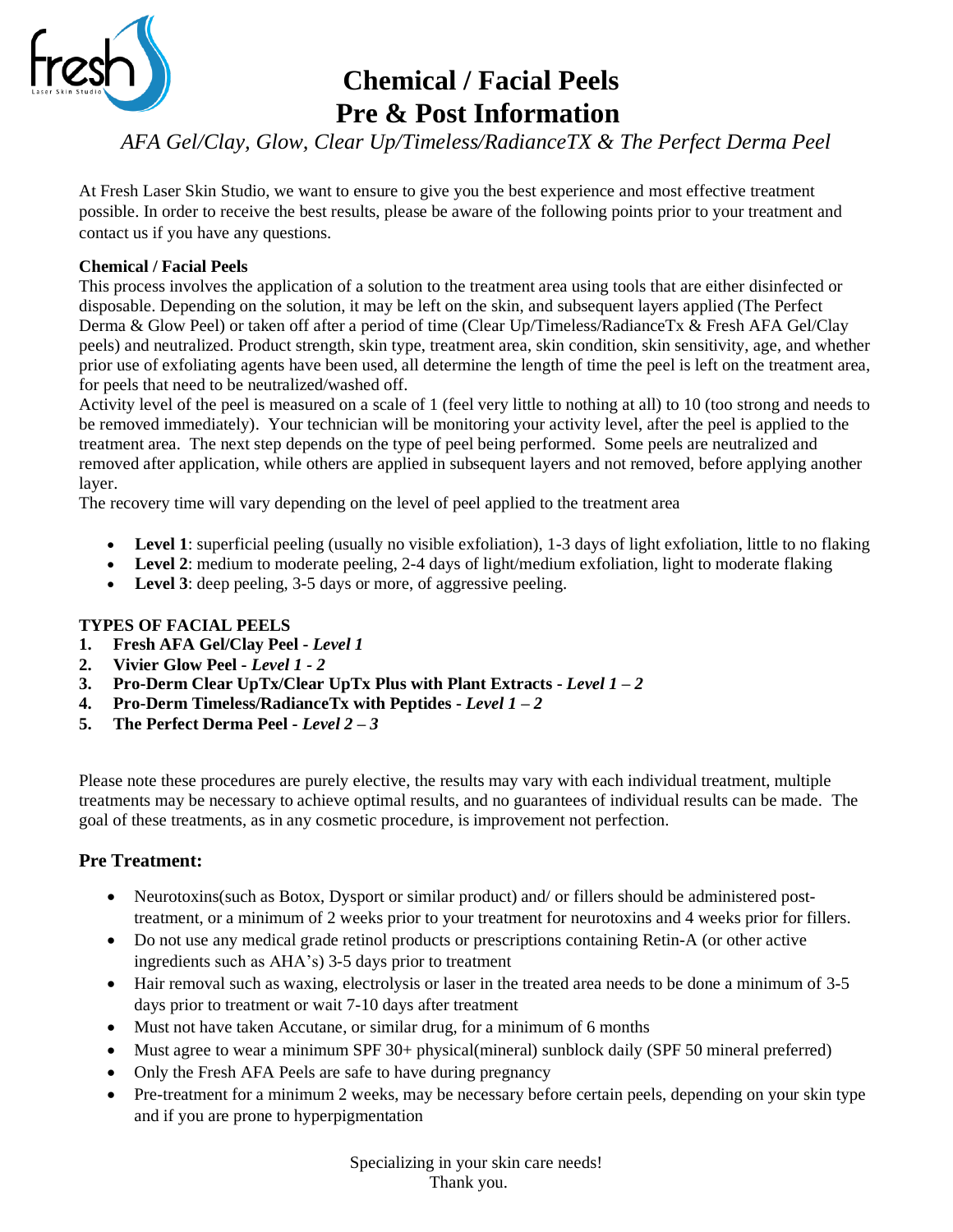

# **Chemical / Facial Peels Pre & Post Information**

*AFA Gel/Clay, Glow, Clear Up/Timeless/RadianceTX & The Perfect Derma Peel*

At Fresh Laser Skin Studio, we want to ensure to give you the best experience and most effective treatment possible. In order to receive the best results, please be aware of the following points prior to your treatment and contact us if you have any questions.

### **Chemical / Facial Peels**

This process involves the application of a solution to the treatment area using tools that are either disinfected or disposable. Depending on the solution, it may be left on the skin, and subsequent layers applied (The Perfect Derma & Glow Peel) or taken off after a period of time (Clear Up/Timeless/RadianceTx & Fresh AFA Gel/Clay peels) and neutralized. Product strength, skin type, treatment area, skin condition, skin sensitivity, age, and whether prior use of exfoliating agents have been used, all determine the length of time the peel is left on the treatment area, for peels that need to be neutralized/washed off.

Activity level of the peel is measured on a scale of 1 (feel very little to nothing at all) to 10 (too strong and needs to be removed immediately). Your technician will be monitoring your activity level, after the peel is applied to the treatment area. The next step depends on the type of peel being performed. Some peels are neutralized and removed after application, while others are applied in subsequent layers and not removed, before applying another layer.

The recovery time will vary depending on the level of peel applied to the treatment area

- Level 1: superficial peeling (usually no visible exfoliation), 1-3 days of light exfoliation, little to no flaking
- **Level 2**: medium to moderate peeling, 2-4 days of light/medium exfoliation, light to moderate flaking
- Level 3: deep peeling, 3-5 days or more, of aggressive peeling.

### **TYPES OF FACIAL PEELS**

- **1. Fresh AFA Gel/Clay Peel -** *Level 1*
- **2. Vivier Glow Peel -** *Level 1 - 2*
- **3. Pro-Derm Clear UpTx/Clear UpTx Plus with Plant Extracts -** *Level 1 – 2*
- **4. Pro-Derm Timeless/RadianceTx with Peptides -** *Level 1 – 2*
- **5. The Perfect Derma Peel -** *Level 2 – 3*

Please note these procedures are purely elective, the results may vary with each individual treatment, multiple treatments may be necessary to achieve optimal results, and no guarantees of individual results can be made. The goal of these treatments, as in any cosmetic procedure, is improvement not perfection.

### **Pre Treatment:**

- Neurotoxins(such as Botox, Dysport or similar product) and/ or fillers should be administered posttreatment, or a minimum of 2 weeks prior to your treatment for neurotoxins and 4 weeks prior for fillers.
- Do not use any medical grade retinol products or prescriptions containing Retin-A (or other active ingredients such as AHA's) 3-5 days prior to treatment
- Hair removal such as waxing, electrolysis or laser in the treated area needs to be done a minimum of 3-5 days prior to treatment or wait 7-10 days after treatment
- Must not have taken Accutane, or similar drug, for a minimum of 6 months
- Must agree to wear a minimum SPF 30+ physical(mineral) sunblock daily (SPF 50 mineral preferred)
- Only the Fresh AFA Peels are safe to have during pregnancy
- Pre-treatment for a minimum 2 weeks, may be necessary before certain peels, depending on your skin type and if you are prone to hyperpigmentation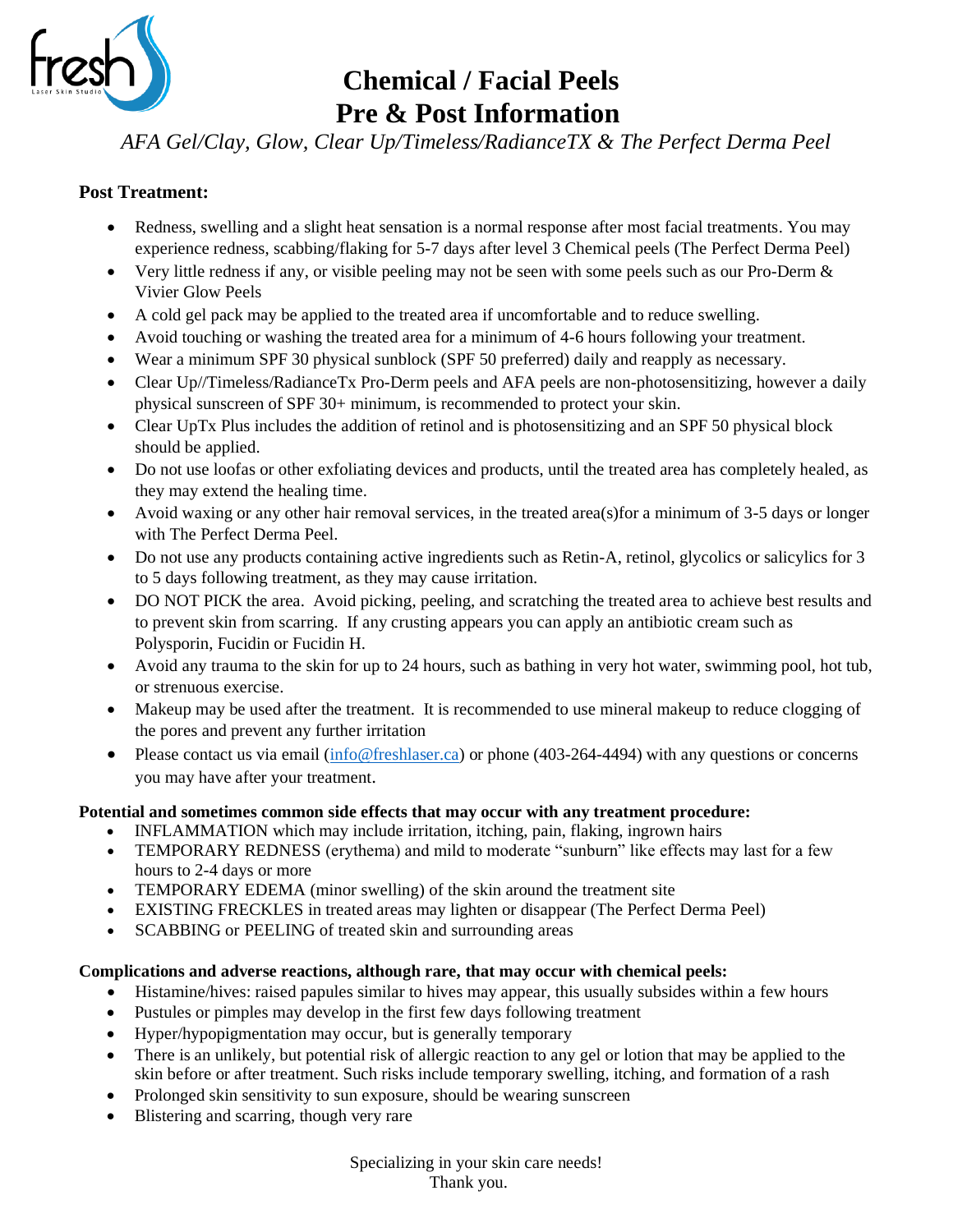

## **Chemical / Facial Peels Pre & Post Information**

*AFA Gel/Clay, Glow, Clear Up/Timeless/RadianceTX & The Perfect Derma Peel*

### **Post Treatment:**

- Redness, swelling and a slight heat sensation is a normal response after most facial treatments. You may experience redness, scabbing/flaking for 5-7 days after level 3 Chemical peels (The Perfect Derma Peel)
- Very little redness if any, or visible peeling may not be seen with some peels such as our Pro-Derm  $\&$ Vivier Glow Peels
- A cold gel pack may be applied to the treated area if uncomfortable and to reduce swelling.
- Avoid touching or washing the treated area for a minimum of 4-6 hours following your treatment.
- Wear a minimum SPF 30 physical sunblock (SPF 50 preferred) daily and reapply as necessary.
- Clear Up//Timeless/RadianceTx Pro-Derm peels and AFA peels are non-photosensitizing, however a daily physical sunscreen of SPF 30+ minimum, is recommended to protect your skin.
- Clear UpTx Plus includes the addition of retinol and is photosensitizing and an SPF 50 physical block should be applied.
- Do not use loofas or other exfoliating devices and products, until the treated area has completely healed, as they may extend the healing time.
- Avoid waxing or any other hair removal services, in the treated area(s) for a minimum of 3-5 days or longer with The Perfect Derma Peel.
- Do not use any products containing active ingredients such as Retin-A, retinol, glycolics or salicylics for 3 to 5 days following treatment, as they may cause irritation.
- DO NOT PICK the area. Avoid picking, peeling, and scratching the treated area to achieve best results and to prevent skin from scarring. If any crusting appears you can apply an antibiotic cream such as Polysporin, Fucidin or Fucidin H.
- Avoid any trauma to the skin for up to 24 hours, such as bathing in very hot water, swimming pool, hot tub, or strenuous exercise.
- Makeup may be used after the treatment. It is recommended to use mineral makeup to reduce clogging of the pores and prevent any further irritation
- Please contact us via email [\(info@freshlaser.ca\)](mailto:info@freshlaser.ca) or phone (403-264-4494) with any questions or concerns you may have after your treatment.

### **Potential and sometimes common side effects that may occur with any treatment procedure:**

- INFLAMMATION which may include irritation, itching, pain, flaking, ingrown hairs
- TEMPORARY REDNESS (erythema) and mild to moderate "sunburn" like effects may last for a few hours to 2-4 days or more
- TEMPORARY EDEMA (minor swelling) of the skin around the treatment site
- EXISTING FRECKLES in treated areas may lighten or disappear (The Perfect Derma Peel)
- SCABBING or PEELING of treated skin and surrounding areas

### **Complications and adverse reactions, although rare, that may occur with chemical peels:**

- Histamine/hives: raised papules similar to hives may appear, this usually subsides within a few hours
- Pustules or pimples may develop in the first few days following treatment
- Hyper/hypopigmentation may occur, but is generally temporary
- There is an unlikely, but potential risk of allergic reaction to any gel or lotion that may be applied to the skin before or after treatment. Such risks include temporary swelling, itching, and formation of a rash
- Prolonged skin sensitivity to sun exposure, should be wearing sunscreen
- Blistering and scarring, though very rare